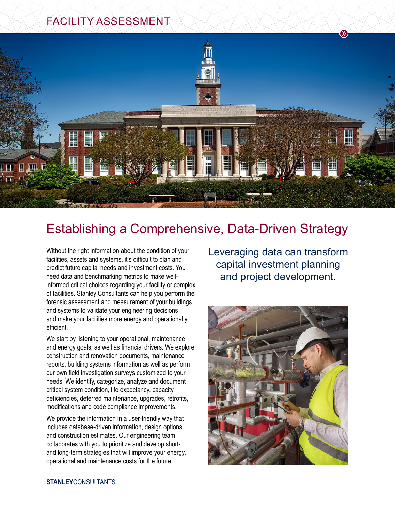## FACILITY ASSESSMENT



## Establishing a Comprehensive, Data-Driven Strategy

Without the right information about the condition of your facilities, assets and systems, it's difficult to plan and predict future capital needs and investment costs. You need data and benchmarking metrics to make wellinformed critical choices regarding your facility or complex of facilities. Stanley Consultants can help you perform the forensic assessment and measurement of your buildings and systems to validate your engineering decisions and make your facilities more energy and operationally efficient.

We start by listening to your operational, maintenance and energy goals, as well as financial drivers. We explore construction and renovation documents, maintenance reports, building systems information as well as perform our own field investigation surveys customized to your needs. We identify, categorize, analyze and document critical system condition, life expectancy, capacity, deficiencies, deferred maintenance, upgrades, retrofits, modifications and code compliance improvements.

We provide the information in a user-friendly way that includes database-driven information, design options and construction estimates. Our engineering team collaborates with you to prioritize and develop shortand long-term strategies that will improve your energy, operational and maintenance costs for the future.

Leveraging data can transform capital investment planning and project development.

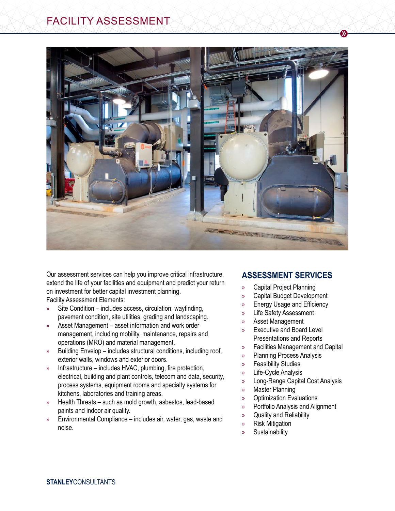

Our assessment services can help you improve critical infrastructure, extend the life of your facilities and equipment and predict your return on investment for better capital investment planning. Facility Assessment Elements:

- » Site Condition includes access, circulation, wayfinding, pavement condition, site utilities, grading and landscaping.
- » Asset Management asset information and work order management, including mobility, maintenance, repairs and operations (MRO) and material management.
- » Building Envelop includes structural conditions, including roof, exterior walls, windows and exterior doors.
- » Infrastructure includes HVAC, plumbing, fire protection, electrical, building and plant controls, telecom and data, security, process systems, equipment rooms and specialty systems for kitchens, laboratories and training areas.
- » Health Threats such as mold growth, asbestos, lead-based paints and indoor air quality.
- » Environmental Compliance includes air, water, gas, waste and noise.

## **ASSESSMENT SERVICES**

 $\mathbf{D}$ 

- » Capital Project Planning
- » Capital Budget Development
- » Energy Usage and Efficiency
- » Life Safety Assessment
- » Asset Management
- » Executive and Board Level Presentations and Reports
- » Facilities Management and Capital
- » Planning Process Analysis
- » Feasibility Studies
- » Life-Cycle Analysis
- » Long-Range Capital Cost Analysis
- » Master Planning
- » Optimization Evaluations
- » Portfolio Analysis and Alignment
- » Quality and Reliability
- » Risk Mitigation
- » Sustainability